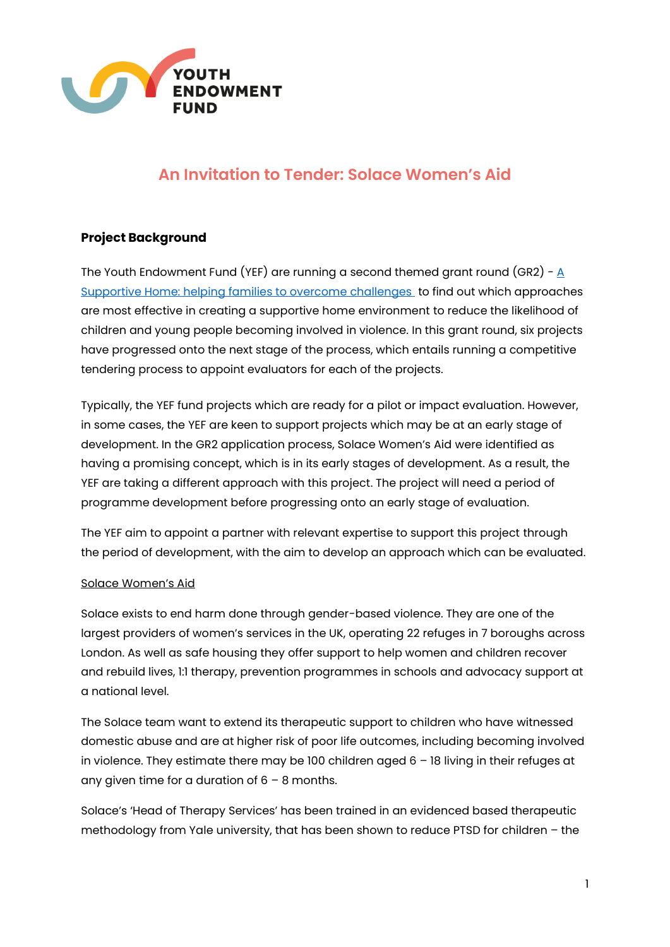

# **An Invitation to Tender: Solace Women's Aid**

## **Project Background**

The Youth Endowment Fund (YEF) are running a second themed grant round (GR2) - [A](https://youthendowmentfund.org.uk/grants/a-supportive-home/)  [Supportive Home: helping families to overcome challenges](https://youthendowmentfund.org.uk/grants/a-supportive-home/) to find out which approaches are most effective in creating a supportive home environment to reduce the likelihood of children and young people becoming involved in violence. In this grant round, six projects have progressed onto the next stage of the process, which entails running a competitive tendering process to appoint evaluators for each of the projects.

Typically, the YEF fund projects which are ready for a pilot or impact evaluation. However, in some cases, the YEF are keen to support projects which may be at an early stage of development. In the GR2 application process, Solace Women's Aid were identified as having a promising concept, which is in its early stages of development. As a result, the YEF are taking a different approach with this project. The project will need a period of programme development before progressing onto an early stage of evaluation.

The YEF aim to appoint a partner with relevant expertise to support this project through the period of development, with the aim to develop an approach which can be evaluated.

#### Solace Women's Aid

Solace exists to end harm done through gender-based violence. They are one of the largest providers of women's services in the UK, operating 22 refuges in 7 boroughs across London. As well as safe housing they offer support to help women and children recover and rebuild lives, 1:1 therapy, prevention programmes in schools and advocacy support at a national level.

The Solace team want to extend its therapeutic support to children who have witnessed domestic abuse and are at higher risk of poor life outcomes, including becoming involved in violence. They estimate there may be 100 children aged  $6 - 18$  living in their refuges at any given time for a duration of  $6 - 8$  months.

Solace's 'Head of Therapy Services' has been trained in an evidenced based therapeutic methodology from Yale university, that has been shown to reduce PTSD for children – the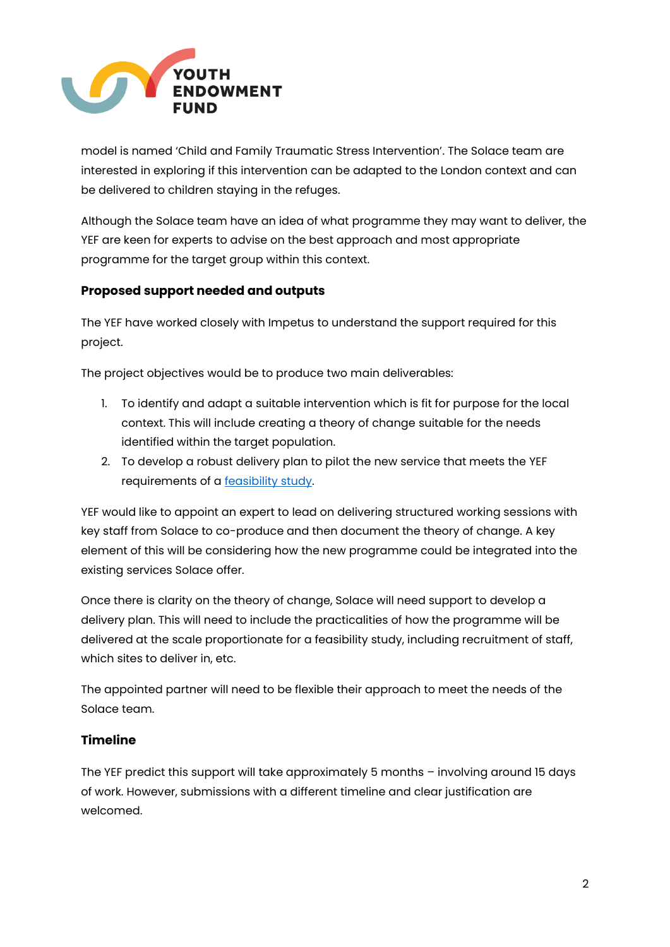

model is named 'Child and Family Traumatic Stress Intervention'. The Solace team are interested in exploring if this intervention can be adapted to the London context and can be delivered to children staying in the refuges.

Although the Solace team have an idea of what programme they may want to deliver, the YEF are keen for experts to advise on the best approach and most appropriate programme for the target group within this context.

### **Proposed support needed and outputs**

The YEF have worked closely with Impetus to understand the support required for this project.

The project objectives would be to produce two main deliverables:

- 1. To identify and adapt a suitable intervention which is fit for purpose for the local context. This will include creating a theory of change suitable for the needs identified within the target population.
- 2. To develop a robust delivery plan to pilot the new service that meets the YEF requirements of a [feasibility study.](https://youthendowmentfund.org.uk/wp-content/uploads/2022/04/2.-YEF-Evaluations-Guidance-Feasibility-studies-April-22.pdf)

YEF would like to appoint an expert to lead on delivering structured working sessions with key staff from Solace to co-produce and then document the theory of change. A key element of this will be considering how the new programme could be integrated into the existing services Solace offer.

Once there is clarity on the theory of change, Solace will need support to develop a delivery plan. This will need to include the practicalities of how the programme will be delivered at the scale proportionate for a feasibility study, including recruitment of staff, which sites to deliver in, etc.

The appointed partner will need to be flexible their approach to meet the needs of the Solace team.

### **Timeline**

The YEF predict this support will take approximately 5 months – involving around 15 days of work. However, submissions with a different timeline and clear justification are welcomed.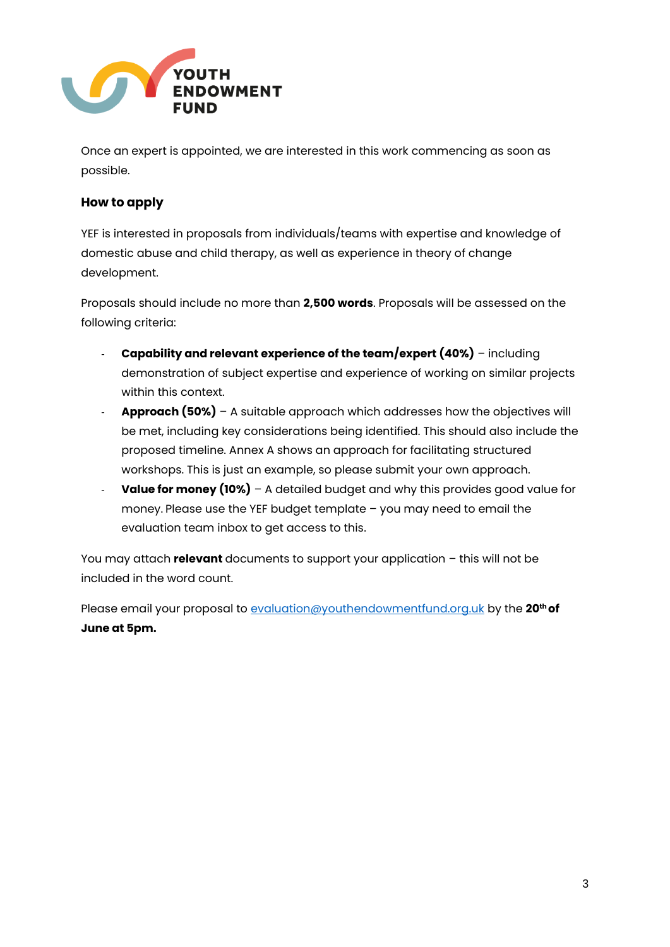

Once an expert is appointed, we are interested in this work commencing as soon as possible.

### **How to apply**

YEF is interested in proposals from individuals/teams with expertise and knowledge of domestic abuse and child therapy, as well as experience in theory of change development.

Proposals should include no more than **2,500 words**. Proposals will be assessed on the following criteria:

- **Capability and relevant experience of the team/expert (40%)** including demonstration of subject expertise and experience of working on similar projects within this context.
- **Approach (50%)** A suitable approach which addresses how the objectives will be met, including key considerations being identified. This should also include the proposed timeline. Annex A shows an approach for facilitating structured workshops. This is just an example, so please submit your own approach.
- **Value for money (10%)** A detailed budget and why this provides good value for money. Please use the YEF budget template – you may need to email the evaluation team inbox to get access to this.

You may attach **relevant** documents to support your application – this will not be included in the word count.

Please email your proposal to [evaluation@youthendowmentfund.org.uk](mailto:evaluation@youthendowmentfund.org.uk) by the **20th of June at 5pm.**